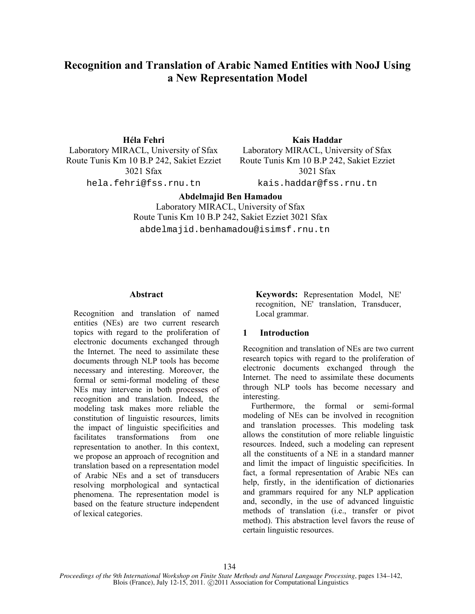# **Recognition and Translation of Arabic Named Entities with NooJ Using a New Representation Model**

Laboratory MIRACL, University of Sfax Laboratory MIRACL, University of Sfax Route Tunis Km 10 B.P 242, Sakiet Ezziet 3021 Sfax

hela.fehri@fss.rnu.tn kais.haddar@fss.rnu.tn

**Héla Fehri Kais Haddar**

Route Tunis Km 10 B.P 242, Sakiet Ezziet 3021 Sfax

**Abdelmajid Ben Hamadou**

Laboratory MIRACL, University of Sfax Route Tunis Km 10 B.P 242, Sakiet Ezziet 3021 Sfax abdelmajid.benhamadou@isimsf.rnu.tn

# **Abstract**

Recognition and translation of named entities (NEs) are two current research topics with regard to the proliferation of electronic documents exchanged through the Internet. The need to assimilate these documents through NLP tools has become necessary and interesting. Moreover, the formal or semi-formal modeling of these NEs may intervene in both processes of recognition and translation. Indeed, the modeling task makes more reliable the constitution of linguistic resources, limits the impact of linguistic specificities and facilitates transformations from one representation to another. In this context, we propose an approach of recognition and translation based on a representation model of Arabic NEs and a set of transducers resolving morphological and syntactical phenomena. The representation model is based on the feature structure independent of lexical categories.

**Keywords:** Representation Model, NE' recognition, NE' translation, Transducer, Local grammar.

# **1 Introduction**

Recognition and translation of NEs are two current research topics with regard to the proliferation of electronic documents exchanged through the Internet. The need to assimilate these documents through NLP tools has become necessary and interesting.

Furthermore, the formal or semi-formal modeling of NEs can be involved in recognition and translation processes. This modeling task allows the constitution of more reliable linguistic resources. Indeed, such a modeling can represent all the constituents of a NE in a standard manner and limit the impact of linguistic specificities. In fact, a formal representation of Arabic NEs can help, firstly, in the identification of dictionaries and grammars required for any NLP application and, secondly, in the use of advanced linguistic methods of translation (i.e., transfer or pivot method). This abstraction level favors the reuse of certain linguistic resources.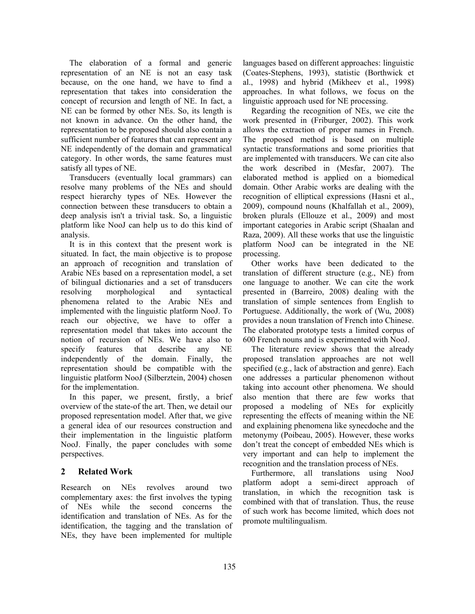The elaboration of a formal and generic representation of an NE is not an easy task because, on the one hand, we have to find a representation that takes into consideration the concept of recursion and length of NE. In fact, a NE can be formed by other NEs. So, its length is not known in advance. On the other hand, the representation to be proposed should also contain a sufficient number of features that can represent any NE independently of the domain and grammatical category. In other words, the same features must satisfy all types of NE.

Transducers (eventually local grammars) can resolve many problems of the NEs and should respect hierarchy types of NEs. However the connection between these transducers to obtain a deep analysis isn't a trivial task. So, a linguistic platform like NooJ can help us to do this kind of analysis.

It is in this context that the present work is situated. In fact, the main objective is to propose an approach of recognition and translation of Arabic NEs based on a representation model, a set of bilingual dictionaries and a set of transducers resolving morphological and syntactical phenomena related to the Arabic NEs and implemented with the linguistic platform NooJ. To reach our objective, we have to offer a representation model that takes into account the notion of recursion of NEs. We have also to specify features that describe any NE independently of the domain. Finally, the representation should be compatible with the linguistic platform NooJ (Silberztein, 2004) chosen for the implementation.

In this paper, we present, firstly, a brief overview of the state-of the art. Then, we detail our proposed representation model. After that, we give a general idea of our resources construction and their implementation in the linguistic platform NooJ. Finally, the paper concludes with some perspectives.

# **2 Related Work**

Research on NEs revolves around two complementary axes: the first involves the typing of NEs while the second concerns the identification and translation of NEs. As for the identification, the tagging and the translation of NEs, they have been implemented for multiple languages based on different approaches: linguistic (Coates-Stephens, 1993), statistic (Borthwick et al., 1998) and hybrid (Mikheev et al., 1998) approaches. In what follows, we focus on the linguistic approach used for NE processing.

Regarding the recognition of NEs, we cite the work presented in (Friburger, 2002). This work allows the extraction of proper names in French. The proposed method is based on multiple syntactic transformations and some priorities that are implemented with transducers. We can cite also the work described in (Mesfar, 2007). The elaborated method is applied on a biomedical domain. Other Arabic works are dealing with the recognition of elliptical expressions (Hasni et al., 2009), compound nouns (Khalfallah et al., 2009), broken plurals (Ellouze et al., 2009) and most important categories in Arabic script (Shaalan and Raza, 2009). All these works that use the linguistic platform NooJ can be integrated in the NE processing.

Other works have been dedicated to the translation of different structure (e.g., NE) from one language to another. We can cite the work presented in (Barreiro, 2008) dealing with the translation of simple sentences from English to Portuguese. Additionally, the work of (Wu, 2008) provides a noun translation of French into Chinese. The elaborated prototype tests a limited corpus of 600 French nouns and is experimented with NooJ.

The literature review shows that the already proposed translation approaches are not well specified (e.g., lack of abstraction and genre). Each one addresses a particular phenomenon without taking into account other phenomena. We should also mention that there are few works that proposed a modeling of NEs for explicitly representing the effects of meaning within the NE and explaining phenomena like synecdoche and the metonymy (Poibeau, 2005). However, these works don't treat the concept of embedded NEs which is very important and can help to implement the recognition and the translation process of NEs.

Furthermore, all translations using NooJ platform adopt a semi-direct approach of translation, in which the recognition task is combined with that of translation. Thus, the reuse of such work has become limited, which does not promote multilingualism.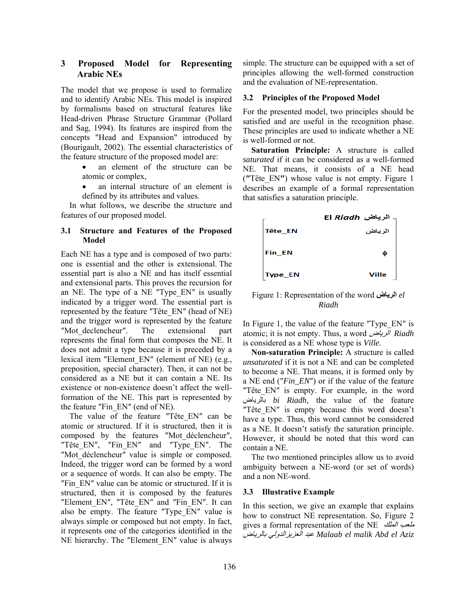# **3 Proposed Model for Representing Arabic NEs**

The model that we propose is used to formalize and to identify Arabic NEs. This model is inspired by formalisms based on structural features like Head-driven Phrase Structure Grammar (Pollard and Sag, 1994). Its features are inspired from the concepts "Head and Expansion" introduced by (Bourigault, 2002). The essential characteristics of the feature structure of the proposed model are:

- an element of the structure can be atomic or complex,
- an internal structure of an element is defined by its attributes and values.

In what follows, we describe the structure and features of our proposed model.

# **3.1 Structure and Features of the Proposed Model**

Each NE has a type and is composed of two parts: one is essential and the other is extensional. The essential part is also a NE and has itself essential and extensional parts. This proves the recursion for an NE. The type of a NE "Type EN" is usually indicated by a trigger word. The essential part is represented by the feature ″Tête\_EN″ (head of NE) and the trigger word is represented by the feature ″Mot\_declencheur″. The extensional part represents the final form that composes the NE. It does not admit a type because it is preceded by a lexical item ″Element\_EN″ (element of NE) (e.g., preposition, special character). Then, it can not be considered as a NE but it can contain a NE. Its existence or non-existence doesn't affect the wellformation of the NE. This part is represented by the feature ″Fin\_EN″ (end of NE).

The value of the feature "Tête EN" can be atomic or structured. If it is structured, then it is composed by the features ″Mot\_déclencheur″, ″Tête\_EN″, ″Fin\_EN″ and ″Type\_EN″. The "Mot déclencheur" value is simple or composed. Indeed, the trigger word can be formed by a word or a sequence of words. It can also be empty. The ″Fin\_EN″ value can be atomic or structured. If it is structured, then it is composed by the features ″Element\_EN″, ″Tête\_EN″ and ″Fin\_EN″. It can also be empty. The feature ″Type\_EN″ value is always simple or composed but not empty. In fact, it represents one of the categories identified in the NE hierarchy. The ″Element\_EN″ value is always simple. The structure can be equipped with a set of principles allowing the well-formed construction and the evaluation of NE-representation.

# **3.2 Principles of the Proposed Model**

For the presented model, two principles should be satisfied and are useful in the recognition phase. These principles are used to indicate whether a NE is well-formed or not.

**Saturation Principle:** A structure is called *saturated* if it can be considered as a well-formed NE. That means, it consists of a NE head (**″**Tête\_EN**″**) whose value is not empty. Figure 1 describes an example of a formal representation that satisfies a saturation principle.



Figure 1: Representation of the word **الرياض** *el Riadh* 

In Figure 1, the value of the feature "Type\_EN" is atomic; it is not empty. Thus, a word الرياض *Riadh* is considered as a NE whose type is *Ville*.

**Non-saturation Principle:** A structure is called *unsaturated* if it is not a NE and can be completed to become a NE. That means, it is formed only by a NE end (″*Fin\_EN*″) or if the value of the feature "Tête EN" is empty. For example, in the word بالرياض *bi Riadh,* the value of the feature "Tête EN" is empty because this word doesn't have a type. Thus, this word cannot be considered as a NE. It doesn't satisfy the saturation principle. However, it should be noted that this word can contain a NE.

The two mentioned principles allow us to avoid ambiguity between a NE-word (or set of words) and a non NE-word.

#### **3.3 Illustrative Example**

In this section, we give an example that explains how to construct NE representation. So, Figure 2 gives a formal representation of the NE الملك ملعب بالرياض العزيزالدولي عبد *Malaab el malik Abd el Aziz*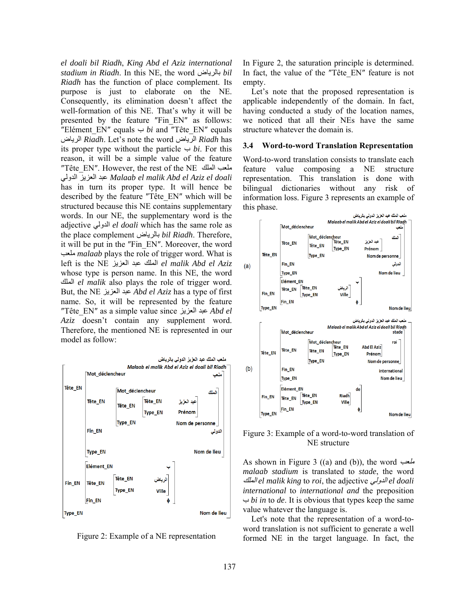*el doali bil Riadh*, *King Abd el Aziz international stadium in Riadh*. In this NE, the word بالرياض *bil Riadh* has the function of place complement. Its purpose is just to elaborate on the NE. Consequently, its elimination doesn't affect the well-formation of this NE. That's why it will be presented by the feature ″Fin\_EN″ as follows: *"Elément EN" equals*  $\hookrightarrow bi$  *and "Tête EN" equals* الرياض *Riadh*. Let's note the word الرياض *Riadh* has its proper type without the particle  $\hookrightarrow bi$ . For this reason, it will be a simple value of the feature ″Tête\_EN″. However, the rest of the NE الملك ملعب الدولي العزيز عبد *Malaab el malik Abd el Aziz el doali* has in turn its proper type. It will hence be described by the feature ″Tête\_EN″ which will be structured because this NE contains supplementary words. In our NE, the supplementary word is the adjective الدولي *el doali* which has the same role as the place complement بالرياض *bil Riadh*. Therefore, it will be put in the ″Fin\_EN″. Moreover, the word ملعب *malaab* plays the role of trigger word. What is left is the NE العزيز عبد الملك *el malik Abd el Aziz* whose type is person name. In this NE, the word الملك *el malik* also plays the role of trigger word. But, the NE العزيز عبد *Abd el Aziz* has a type of first name. So, it will be represented by the feature ″Tête\_EN″ as a simple value since العزيز عبد *Abd el Aziz* doesn't contain any supplement word. Therefore, the mentioned NE is represented in our model as follow:

ملعب الملك عبد العزيز الدولي بالرياض Malaab el malik Abd el Aziz el doali bil Riadh Mot déclencheur Tête EN Mot déclencheur ett a ti Tête\_EN Tête EN عبد العزيز Tête\_EN Type\_EN Prénom Type\_EN Nom de personne Fin\_EN الدولى Type\_EN Nom de lieu Elément\_EN Tête\_EN Fin\_EN Tête\_EN **Type EN** Fin\_EN **Type\_EN** Nom de lieu



In Figure 2, the saturation principle is determined. In fact, the value of the "Tête EN" feature is not empty.

Let's note that the proposed representation is applicable independently of the domain. In fact, having conducted a study of the location names, we noticed that all their NEs have the same structure whatever the domain is.

# **3.4 Word-to-word Translation Representation**

Word-to-word translation consists to translate each feature value composing a NE structure representation. This translation is done with bilingual dictionaries without any risk of information loss. Figure 3 represents an example of this phase.



Figure 3: Example of a word-to-word translation of NE structure

As shown in Figure 3 ((a) and (b)), the word ملعب *malaab stadium* is translated to *stade*, the word الملك *el malik king* to *roi*, the adjective الدولي *el doali international* to *international and* the preposition ب *bi in* to *de*. It is obvious that types keep the same value whatever the language is.

Let's note that the representation of a word-toword translation is not sufficient to generate a well formed NE in the target language. In fact, the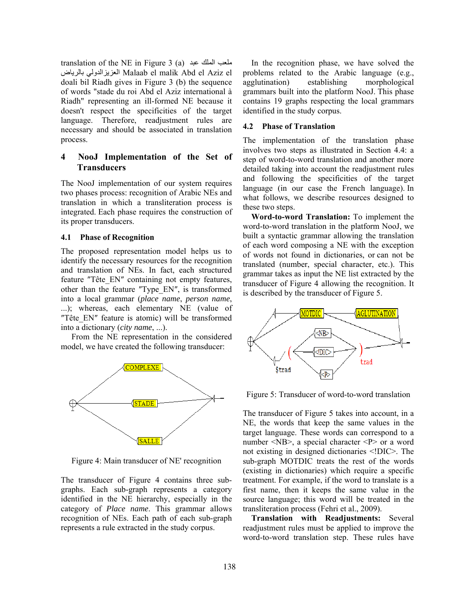translation of the NE in Figure 3 (a) عبد الملك ملعب بالرياض العزيزالدولي Malaab el malik Abd el Aziz el doali bil Riadh gives in Figure 3 (b) the sequence of words "stade du roi Abd el Aziz international à Riadh" representing an ill-formed NE because it doesn't respect the specificities of the target language. Therefore, readjustment rules are necessary and should be associated in translation process.

# **4 NooJ Implementation of the Set of Transducers**

The NooJ implementation of our system requires two phases process: recognition of Arabic NEs and translation in which a transliteration process is integrated. Each phase requires the construction of its proper transducers.

#### **4.1 Phase of Recognition**

The proposed representation model helps us to identify the necessary resources for the recognition and translation of NEs. In fact, each structured feature "Tête EN" containing not empty features, other than the feature ″Type\_EN″, is transformed into a local grammar (*place name*, *person name*, ...); whereas, each elementary NE (value of "Tête EN" feature is atomic) will be transformed into a dictionary (*city name*, ...).

 From the NE representation in the considered model, we have created the following transducer:



Figure 4: Main transducer of NE' recognition

The transducer of Figure 4 contains three subgraphs. Each sub-graph represents a category identified in the NE hierarchy, especially in the category of *Place name*. This grammar allows recognition of NEs. Each path of each sub-graph represents a rule extracted in the study corpus.

In the recognition phase, we have solved the problems related to the Arabic language (e.g., agglutination) establishing morphological grammars built into the platform NooJ. This phase contains 19 graphs respecting the local grammars identified in the study corpus.

#### **4.2 Phase of Translation**

The implementation of the translation phase involves two steps as illustrated in Section 4.4: a step of word-to-word translation and another more detailed taking into account the readjustment rules and following the specificities of the target language (in our case the French language). In what follows, we describe resources designed to these two steps.

**Word-to-word Translation:** To implement the word-to-word translation in the platform NooJ, we built a syntactic grammar allowing the translation of each word composing a NE with the exception of words not found in dictionaries, or can not be translated (number, special character, etc.). This grammar takes as input the NE list extracted by the transducer of Figure 4 allowing the recognition. It is described by the transducer of Figure 5.



Figure 5: Transducer of word-to-word translation

The transducer of Figure 5 takes into account, in a NE, the words that keep the same values in the target language. These words can correspond to a number <NB>, a special character <P> or a word not existing in designed dictionaries <!DIC>. The sub-graph MOTDIC treats the rest of the words (existing in dictionaries) which require a specific treatment. For example, if the word to translate is a first name, then it keeps the same value in the source language; this word will be treated in the transliteration process (Fehri et al., 2009).

**Translation with Readjustments:** Several readjustment rules must be applied to improve the word-to-word translation step. These rules have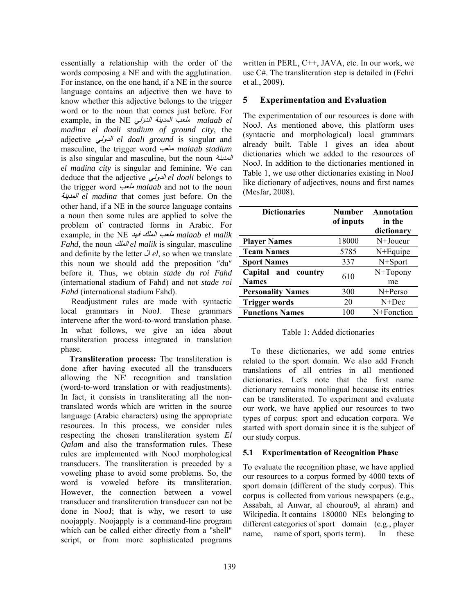essentially a relationship with the order of the words composing a NE and with the agglutination. For instance, on the one hand, if a NE in the source language contains an adjective then we have to know whether this adjective belongs to the trigger word or to the noun that comes just before. For example, in the NE الدولي المدينة ملعب *malaab el madina el doali stadium of ground city*, the adjective الدولي *el doali ground* is singular and masculine, the trigger word ملعب *malaab stadium*  is also singular and masculine, but the noun المدينة *el madina city* is singular and feminine. We can deduce that the adjective الدولي *el doali* belongs to the trigger word ملعب *malaab* and not to the noun المدينة *el madina* that comes just before. On the other hand, if a NE in the source language contains a noun then some rules are applied to solve the problem of contracted forms in Arabic. For example, in the NE فهد الملك ملعب *malaab el malik Fahd*, the noun الملك *el malik* is singular, masculine and definite by the letter ال *el*, so when we translate this noun we should add the preposition ″du″ before it. Thus, we obtain *stade du roi Fahd* (international stadium of Fahd) and not *stade roi Fahd* (international stadium Fahd).

 Readjustment rules are made with syntactic local grammars in NooJ. These grammars intervene after the word-to-word translation phase. In what follows, we give an idea about transliteration process integrated in translation phase.

**Transliteration process:** The transliteration is done after having executed all the transducers allowing the NE' recognition and translation (word-to-word translation or with readjustments). In fact, it consists in transliterating all the nontranslated words which are written in the source language (Arabic characters) using the appropriate resources. In this process, we consider rules respecting the chosen transliteration system *El Qalam* and also the transformation rules. These rules are implemented with NooJ morphological transducers. The transliteration is preceded by a voweling phase to avoid some problems. So, the word is voweled before its transliteration. However, the connection between a vowel transducer and transliteration transducer can not be done in NooJ; that is why, we resort to use noojapply. Noojapply is a command-line program which can be called either directly from a "shell" script, or from more sophisticated programs written in PERL, C++, JAVA, etc. In our work, we use C#. The transliteration step is detailed in (Fehri et al., 2009).

# **5 Experimentation and Evaluation**

The experimentation of our resources is done with NooJ. As mentioned above, this platform uses (syntactic and morphological) local grammars already built. Table 1 gives an idea about dictionaries which we added to the resources of NooJ. In addition to the dictionaries mentioned in Table 1, we use other dictionaries existing in NooJ like dictionary of adjectives, nouns and first names (Mesfar, 2008).

| <b>Dictionaries</b>      | <b>Number</b><br>of inputs | Annotation<br>in the<br>dictionary |
|--------------------------|----------------------------|------------------------------------|
| <b>Player Names</b>      | 18000                      | $N+Joueur$                         |
| <b>Team Names</b>        | 5785                       | $N + \text{Equire}$                |
| <b>Sport Names</b>       | 337                        | N+Sport                            |
| Capital and<br>country   | 610                        | N+Topony                           |
| <b>Names</b>             |                            | me                                 |
| <b>Personality Names</b> | 300                        | N+Perso                            |
| <b>Trigger words</b>     | 20                         | $N+Dec$                            |
| <b>Functions Names</b>   | 100                        | N+Fonction                         |

# Table 1: Added dictionaries

To these dictionaries, we add some entries related to the sport domain. We also add French translations of all entries in all mentioned dictionaries. Let's note that the first name dictionary remains monolingual because its entries can be transliterated. To experiment and evaluate our work, we have applied our resources to two types of corpus: sport and education corpora. We started with sport domain since it is the subject of our study corpus.

# **5.1 Experimentation of Recognition Phase**

To evaluate the recognition phase, we have applied our resources to a corpus formed by 4000 texts of sport domain (different of the study corpus). This corpus is collected from various newspapers (e.g., Assabah, al Anwar, al chourou9, al ahram) and Wikipedia. It contains 180000 NEs belonging to different categories of sport domain (e.g., player name, name of sport, sports term). In these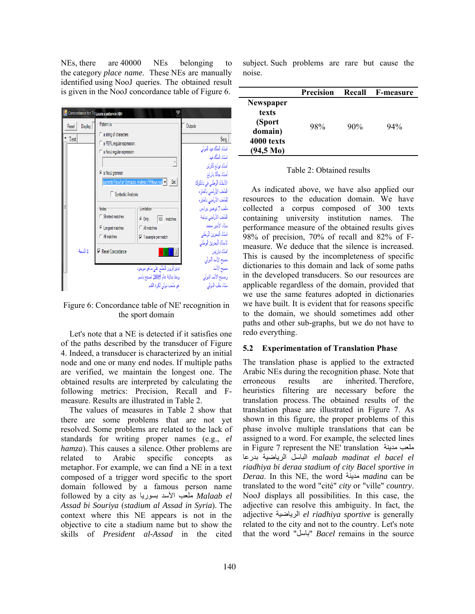NEs, there are 40000 NEs belonging to the category *place name*. These NEs are manually identified using NooJ queries. The obtained result is given in the NooJ concordance table of Figure 6.



Figure 6: Concordance table of NE' recognition in the sport domain

Let's note that a NE is detected if it satisfies one of the paths described by the transducer of Figure 4. Indeed, a transducer is characterized by an initial node and one or many end nodes. If multiple paths are verified, we maintain the longest one. The obtained results are interpreted by calculating the following metrics: Precision, Recall and Fmeasure. Results are illustrated in Table 2.

The values of measures in Table 2 show that there are some problems that are not yet resolved. Some problems are related to the lack of standards for writing proper names (e.g., *el hamza*). This causes a silence. Other problems are related to Arabic specific concepts as metaphor. For example, we can find a NE in a text composed of a trigger word specific to the sport domain followed by a famous person name followed by a city as بسوريا الأسد ملعب *Malaab el Assad bi Souriya* (*stadium al Assad in Syria*). The context where this NE appears is not in the objective to cite a stadium name but to show the skills of *President al-Assad* in the cited

subject. Such problems are rare but cause the noise.

|                                                                                 | <b>Precision</b> | Recall | <b>F-measure</b> |
|---------------------------------------------------------------------------------|------------------|--------|------------------|
| Newspaper<br>texts<br>(Sport<br>domain)<br>4000 texts<br>(94,5 M <sub>0</sub> ) | 98%              | 90%    | 94%              |

#### Table 2: Obtained results

As indicated above, we have also applied our resources to the education domain. We have collected a corpus composed of 300 texts containing university institution names. The performance measure of the obtained results gives 98% of precision, 70% of recall and 82% of Fmeasure. We deduce that the silence is increased. This is caused by the incompleteness of specific dictionaries to this domain and lack of some paths in the developed transducers. So our resources are applicable regardless of the domain, provided that we use the same features adopted in dictionaries we have built. It is evident that for reasons specific to the domain, we should sometimes add other paths and other sub-graphs, but we do not have to redo everything.

#### **5.2 Experimentation of Translation Phase**

The translation phase is applied to the extracted Arabic NEs during the recognition phase. Note that erroneous results are inherited. Therefore, heuristics filtering are necessary before the translation process. The obtained results of the translation phase are illustrated in Figure 7. As shown in this figure, the proper problems of this phase involve multiple translations that can be assigned to a word. For example, the selected lines in Figure 7 represent the NE' translation مدينة ملعب بدرعا الرياضية الباسل *malaab madinat el bacel el riadhiya bi deraa stadium of city Bacel sportive in Deraa*. In this NE, the word مدينة *madina* can be translated to the word "cité" *city* or "ville" *country*. NooJ displays all possibilities. In this case, the adjective can resolve this ambiguity. In fact, the adjective الرياضية *el riadhiya sportive* is generally related to the city and not to the country. Let's note that the word "باسل" *Bacel* remains in the source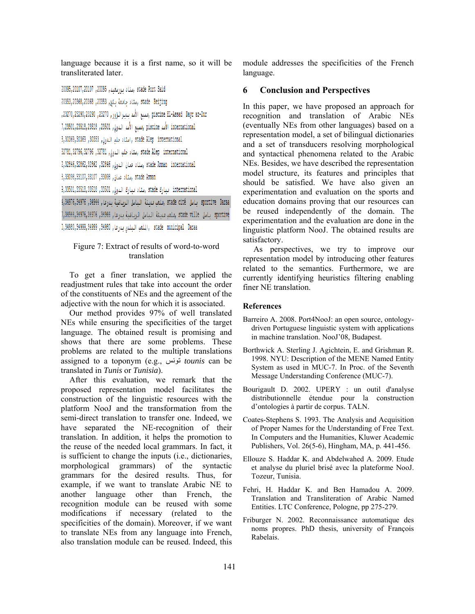language because it is a first name, so it will be transliterated later.

.3tade Port Said ,ستاد بورسعيد, 20095, 20107,20107 ,20095

```
stade Beijing ,ستاد حاسعة بكن, 20353, 20368,20368 ،20353
```
piscine EL-Assad Dayr az-Zur ,دسبع الأصد بنيرالزور, 23270,23290,23290,23290, 23270,

international الأسا piscine ,مسبح الأسا الدولي, 23501, 23518, 23518, 7, 23501, 7, 23501, 7, 23501, 7

3,30369,30369 ,30353 ,استاد حلب الدولي, 30359,30369,30369 ,30358

32781,32796,32796 ,32781 ,ستاد حلب الدولي, 32781, 32796,32796,32796

atade Amman international ,ستاد عمان الدولي, 32846, 32862, 32846, 2, 32846, 2,

3,33098,33107,33107,33098, ستاد عمان, 33098,33107,33107,

international سارك stade ,ستاد مبارك الدولي, 33501, 33518,33518, 33518, 33518

sportive Daraa (باصل stade cité (ملعب سبنة الباصل الرياضية بدرعا, 34944, 34976,34976, 14984,

sportive - باصل stade ville ,بلغت فينة الناصل الرباضية بدرعا , 34944, 34976, 34976, 34976, 7, 34944,

.),34980,34999,34999,34990 ,الملعب البلدي بدرعا, 34980,34999,34999,34990

# Figure 7: Extract of results of word-to-word translation

To get a finer translation, we applied the readjustment rules that take into account the order of the constituents of NEs and the agreement of the adjective with the noun for which it is associated.

Our method provides 97% of well translated NEs while ensuring the specificities of the target language. The obtained result is promising and shows that there are some problems. These problems are related to the multiple translations assigned to a toponym (e.g., تونس *tounis* can be translated in *Tunis* or *Tunisia*).

After this evaluation, we remark that the proposed representation model facilitates the construction of the linguistic resources with the platform NooJ and the transformation from the semi-direct translation to transfer one. Indeed, we have separated the NE-recognition of their translation. In addition, it helps the promotion to the reuse of the needed local grammars. In fact, it is sufficient to change the inputs (i.e., dictionaries, morphological grammars) of the syntactic grammars for the desired results. Thus, for example, if we want to translate Arabic NE to another language other than French, the recognition module can be reused with some modifications if necessary (related to the specificities of the domain). Moreover, if we want to translate NEs from any language into French, also translation module can be reused. Indeed, this module addresses the specificities of the French language.

# **6 Conclusion and Perspectives**

In this paper, we have proposed an approach for recognition and translation of Arabic NEs (eventually NEs from other languages) based on a representation model, a set of bilingual dictionaries and a set of transducers resolving morphological and syntactical phenomena related to the Arabic NEs. Besides, we have described the representation model structure, its features and principles that should be satisfied. We have also given an experimentation and evaluation on the sports and education domains proving that our resources can be reused independently of the domain. The experimentation and the evaluation are done in the linguistic platform NooJ. The obtained results are satisfactory.

 As perspectives, we try to improve our representation model by introducing other features related to the semantics. Furthermore, we are currently identifying heuristics filtering enabling finer NE translation.

#### **References**

- Barreiro A. 2008. Port4NooJ: an open source, ontologydriven Portuguese linguistic system with applications in machine translation. NooJ'08, Budapest.
- Borthwick A. Sterling J. Agichtein, E. and Grishman R. 1998. NYU: Description of the MENE Named Entity System as used in MUC-7. In Proc. of the Seventh Message Understanding Conference (MUC-7).
- Bourigault D. 2002. UPERY : un outil d'analyse distributionnelle étendue pour la construction d'ontologies à partir de corpus. TALN.
- Coates-Stephens S. 1993. The Analysis and Acquisition of Proper Names for the Understanding of Free Text. In Computers and the Humanities, Kluwer Academic Publishers, Vol. 26(5-6), Hingham, MA, p. 441-456.
- Ellouze S. Haddar K. and Abdelwahed A. 2009. Etude et analyse du pluriel brisé avec la plateforme NooJ. Tozeur, Tunisia.
- Fehri, H. Haddar K. and Ben Hamadou A. 2009. Translation and Transliteration of Arabic Named Entities. LTC Conference, Pologne, pp 275-279.
- Friburger N. 2002. Reconnaissance automatique des noms propres. PhD thesis, university of François Rabelais.